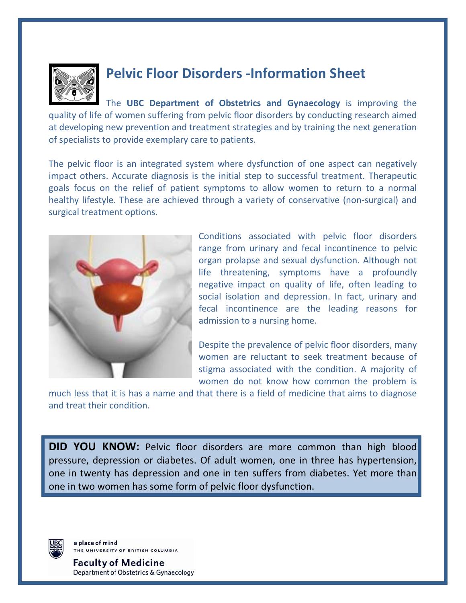

## **Pelvic Floor Disorders ‐Information Sheet**

The **UBC Department of Obstetrics and Gynaecology** is improving the quality of life of women suffering from pelvic floor disorders by conducting research aimed at developing new prevention and treatment strategies and by training the next generation of specialists to provide exemplary care to patients.

The pelvic floor is an integrated system where dysfunction of one aspect can negatively impact others. Accurate diagnosis is the initial step to successful treatment. Therapeutic goals focus on the relief of patient symptoms to allow women to return to a normal healthy lifestyle. These are achieved through a variety of conservative (non-surgical) and surgical treatment options.



Conditions associated with pelvic floor disorders range from urinary and fecal incontinence to pelvic organ prolapse and sexual dysfunction. Although not life threatening, symptoms have a profoundly negative impact on quality of life, often leading to social isolation and depression. In fact, urinary and fecal incontinence are the leading reasons for admission to a nursing home.

Despite the prevalence of pelvic floor disorders, many women are reluctant to seek treatment because of stigma associated with the condition. A majority of women do not know how common the problem is

much less that it is has a name and that there is a field of medicine that aims to diagnose and treat their condition.

**DID YOU KNOW:** Pelvic floor disorders are more common than high blood pressure, depression or diabetes. Of adult women, one in three has hypertension, one in twenty has depression and one in ten suffers from diabetes. Yet more than one in two women has some form of pelvic floor dysfunction.



a place of mind HE UNIVERSITY OF BRITISH COLUMBIA

**Faculty of Medicine** Department of Obstetrics & Gynaecology